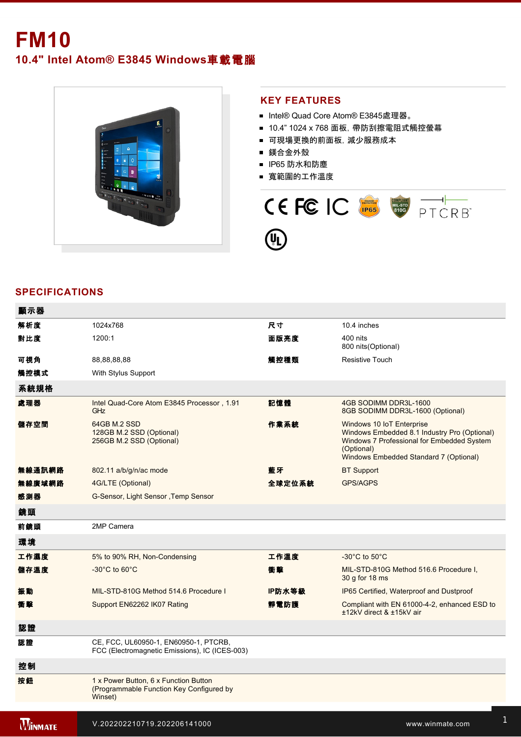

## **KEY FEATURES**

- Intel® Quad Core Atom® E3845處理器。
- 10.4" 1024 x 768 面板, 帶防刮擦電阻式觸控螢幕
- 可現場更換的前面板, 減少服務成本
- 鎂合金外殼
- IP65 防水和防塵
- 寬範圍的工作溫度



## **SPECIFICATIONS**

| 顯示器            |                                                                                              |        |                                                                                                                                                                                 |
|----------------|----------------------------------------------------------------------------------------------|--------|---------------------------------------------------------------------------------------------------------------------------------------------------------------------------------|
| 解析度            | 1024x768                                                                                     | 尺寸     | 10.4 inches                                                                                                                                                                     |
| 對比度            | 1200:1                                                                                       | 面版亮度   | 400 nits<br>800 nits(Optional)                                                                                                                                                  |
| 可視角            | 88,88,88,88                                                                                  | 觸控種類   | <b>Resistive Touch</b>                                                                                                                                                          |
| 觸控模式           | With Stylus Support                                                                          |        |                                                                                                                                                                                 |
| 系統規格           |                                                                                              |        |                                                                                                                                                                                 |
| 處理器            | Intel Quad-Core Atom E3845 Processor, 1.91<br>GHz                                            | 記憶體    | 4GB SODIMM DDR3L-1600<br>8GB SODIMM DDR3L-1600 (Optional)                                                                                                                       |
| 儲存空間           | 64GB M.2 SSD<br>128GB M.2 SSD (Optional)<br>256GB M.2 SSD (Optional)                         | 作業系統   | Windows 10 IoT Enterprise<br>Windows Embedded 8.1 Industry Pro (Optional)<br>Windows 7 Professional for Embedded System<br>(Optional)<br>Windows Embedded Standard 7 (Optional) |
| 無線通訊網路         | 802.11 a/b/g/n/ac mode                                                                       | 藍牙     | <b>BT Support</b>                                                                                                                                                               |
| 無線廣域網路         | 4G/LTE (Optional)                                                                            | 全球定位系統 | <b>GPS/AGPS</b>                                                                                                                                                                 |
| 感測器            | G-Sensor, Light Sensor, Temp Sensor                                                          |        |                                                                                                                                                                                 |
| 鏡頭             |                                                                                              |        |                                                                                                                                                                                 |
| 前鏡頭            | 2MP Camera                                                                                   |        |                                                                                                                                                                                 |
| 環境             |                                                                                              |        |                                                                                                                                                                                 |
| 工作濕度           | 5% to 90% RH, Non-Condensing                                                                 | 工作溫度   | -30 $^{\circ}$ C to 50 $^{\circ}$ C                                                                                                                                             |
| 儲存溫度           | $-30^{\circ}$ C to 60 $^{\circ}$ C                                                           | 衝擊     | MIL-STD-810G Method 516.6 Procedure I,<br>30 g for 18 ms                                                                                                                        |
| 振動             | MIL-STD-810G Method 514.6 Procedure I                                                        | IP防水等級 | IP65 Certified, Waterproof and Dustproof                                                                                                                                        |
| 衝撃             | Support EN62262 IK07 Rating                                                                  | 靜電防護   | Compliant with EN 61000-4-2, enhanced ESD to<br>±12kV direct & ±15kV air                                                                                                        |
| 認證             |                                                                                              |        |                                                                                                                                                                                 |
| 認證             | CE, FCC, UL60950-1, EN60950-1, PTCRB,<br>FCC (Electromagnetic Emissions), IC (ICES-003)      |        |                                                                                                                                                                                 |
| 控制             |                                                                                              |        |                                                                                                                                                                                 |
| 按鈕             | 1 x Power Button, 6 x Function Button<br>(Programmable Function Key Configured by<br>Winset) |        |                                                                                                                                                                                 |
|                |                                                                                              |        |                                                                                                                                                                                 |
| <b>WINMATE</b> | V.202202210719.202206141000                                                                  |        | www.winmate.com                                                                                                                                                                 |

1 x DB9 Connector for 2 x USB 2.0 Port(Docking) 2.0 Port(Docking) 2.0 Port(Docking) 2.0 Port(Docking) 2.0 Por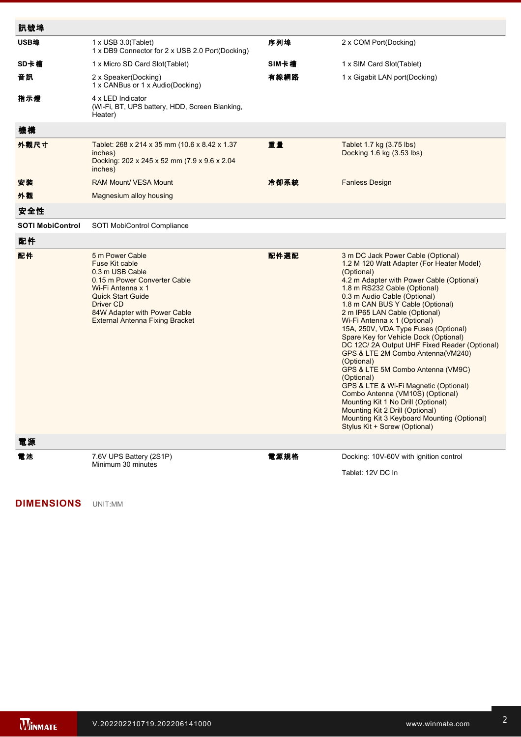| 訊號埠                     |                                                                                                                                                                                                                                     |       |                                                                                                                                                                                                                                                                                                                                                                                                                                                                                                                                                                                                                                                                                                                                                                                              |
|-------------------------|-------------------------------------------------------------------------------------------------------------------------------------------------------------------------------------------------------------------------------------|-------|----------------------------------------------------------------------------------------------------------------------------------------------------------------------------------------------------------------------------------------------------------------------------------------------------------------------------------------------------------------------------------------------------------------------------------------------------------------------------------------------------------------------------------------------------------------------------------------------------------------------------------------------------------------------------------------------------------------------------------------------------------------------------------------------|
| USB埠                    | 1 x USB 3.0(Tablet)<br>1 x DB9 Connector for 2 x USB 2.0 Port(Docking)                                                                                                                                                              | 序列埠   | 2 x COM Port(Docking)                                                                                                                                                                                                                                                                                                                                                                                                                                                                                                                                                                                                                                                                                                                                                                        |
| SD卡槽                    | 1 x Micro SD Card Slot(Tablet)                                                                                                                                                                                                      | SIM卡槽 | 1 x SIM Card Slot(Tablet)                                                                                                                                                                                                                                                                                                                                                                                                                                                                                                                                                                                                                                                                                                                                                                    |
| 音訊                      | 2 x Speaker(Docking)<br>1 x CANBus or 1 x Audio(Docking)                                                                                                                                                                            | 有線網路  | 1 x Gigabit LAN port(Docking)                                                                                                                                                                                                                                                                                                                                                                                                                                                                                                                                                                                                                                                                                                                                                                |
| 指示燈                     | 4 x LED Indicator<br>(Wi-Fi, BT, UPS battery, HDD, Screen Blanking,<br>Heater)                                                                                                                                                      |       |                                                                                                                                                                                                                                                                                                                                                                                                                                                                                                                                                                                                                                                                                                                                                                                              |
| 機構                      |                                                                                                                                                                                                                                     |       |                                                                                                                                                                                                                                                                                                                                                                                                                                                                                                                                                                                                                                                                                                                                                                                              |
| 外觀尺寸                    | Tablet: 268 x 214 x 35 mm (10.6 x 8.42 x 1.37)<br>inches)<br>Docking: 202 x 245 x 52 mm (7.9 x 9.6 x 2.04<br>inches)                                                                                                                | 重量    | Tablet 1.7 kg (3.75 lbs)<br>Docking 1.6 kg (3.53 lbs)                                                                                                                                                                                                                                                                                                                                                                                                                                                                                                                                                                                                                                                                                                                                        |
| 安裝                      | <b>RAM Mount/ VESA Mount</b>                                                                                                                                                                                                        | 冷卻系統  | <b>Fanless Design</b>                                                                                                                                                                                                                                                                                                                                                                                                                                                                                                                                                                                                                                                                                                                                                                        |
| 外觀                      | Magnesium alloy housing                                                                                                                                                                                                             |       |                                                                                                                                                                                                                                                                                                                                                                                                                                                                                                                                                                                                                                                                                                                                                                                              |
| 安全性                     |                                                                                                                                                                                                                                     |       |                                                                                                                                                                                                                                                                                                                                                                                                                                                                                                                                                                                                                                                                                                                                                                                              |
| <b>SOTI MobiControl</b> | SOTI MobiControl Compliance                                                                                                                                                                                                         |       |                                                                                                                                                                                                                                                                                                                                                                                                                                                                                                                                                                                                                                                                                                                                                                                              |
| 配件                      |                                                                                                                                                                                                                                     |       |                                                                                                                                                                                                                                                                                                                                                                                                                                                                                                                                                                                                                                                                                                                                                                                              |
| 配件                      | 5 m Power Cable<br><b>Fuse Kit cable</b><br>0.3 m USB Cable<br>0.15 m Power Converter Cable<br>Wi-Fi Antenna x 1<br><b>Quick Start Guide</b><br>Driver CD<br>84W Adapter with Power Cable<br><b>External Antenna Fixing Bracket</b> | 配件選配  | 3 m DC Jack Power Cable (Optional)<br>1.2 M 120 Watt Adapter (For Heater Model)<br>(Optional)<br>4.2 m Adapter with Power Cable (Optional)<br>1.8 m RS232 Cable (Optional)<br>0.3 m Audio Cable (Optional)<br>1.8 m CAN BUS Y Cable (Optional)<br>2 m IP65 LAN Cable (Optional)<br>Wi-Fi Antenna x 1 (Optional)<br>15A, 250V, VDA Type Fuses (Optional)<br>Spare Key for Vehicle Dock (Optional)<br>DC 12C/2A Output UHF Fixed Reader (Optional)<br>GPS & LTE 2M Combo Antenna(VM240)<br>(Optional)<br>GPS & LTE 5M Combo Antenna (VM9C)<br>(Optional)<br>GPS & LTE & Wi-Fi Magnetic (Optional)<br>Combo Antenna (VM10S) (Optional)<br>Mounting Kit 1 No Drill (Optional)<br>Mounting Kit 2 Drill (Optional)<br>Mounting Kit 3 Keyboard Mounting (Optional)<br>Stylus Kit + Screw (Optional) |
| 電源                      |                                                                                                                                                                                                                                     |       |                                                                                                                                                                                                                                                                                                                                                                                                                                                                                                                                                                                                                                                                                                                                                                                              |
| 電池                      | 7.6V UPS Battery (2S1P)<br>Minimum 30 minutes                                                                                                                                                                                       | 電源規格  | Docking: 10V-60V with ignition control<br>Tablet: 12V DC In                                                                                                                                                                                                                                                                                                                                                                                                                                                                                                                                                                                                                                                                                                                                  |

 $\mathcal{P}(\mathcal{P})$  (Programmable Function  $\mathcal{P}(\mathcal{P})$ 

**DIMENSIONS**  UNIT:MM